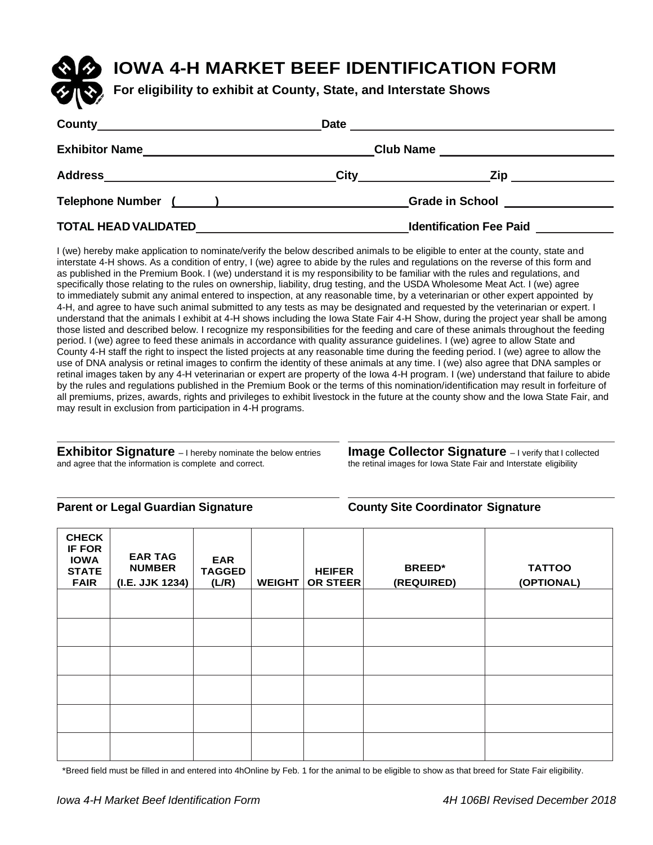# **IOWA 4-H MARKET BEEF IDENTIFICATION FORM**

**For eligibility to exhibit at County, State, and Interstate Shows**

| County                      | <b>Date</b>                                                                                                            | <u> 1989 - John Stein, Amerikaansk politiker († 1908)</u>                                                                                                                                                                      |  |  |
|-----------------------------|------------------------------------------------------------------------------------------------------------------------|--------------------------------------------------------------------------------------------------------------------------------------------------------------------------------------------------------------------------------|--|--|
| <b>Exhibitor Name</b>       |                                                                                                                        |                                                                                                                                                                                                                                |  |  |
| <b>Address</b>              | <b>City</b>                                                                                                            | Zip.<br><u> 1980 - Andrea Britain, politik e</u>                                                                                                                                                                               |  |  |
| <b>Telephone Number</b>     | $\left(\begin{array}{cc} 1 & 1 \end{array}\right)$ , and the set of $\left(\begin{array}{cc} 1 & 1 \end{array}\right)$ | Grade in School and the state of the state of the state of the state of the state of the state of the state of the state of the state of the state of the state of the state of the state of the state of the state of the sta |  |  |
| <b>TOTAL HEAD VALIDATED</b> |                                                                                                                        | <b>Identification Fee Paid</b>                                                                                                                                                                                                 |  |  |

I (we) hereby make application to nominate/verify the below described animals to be eligible to enter at the county, state and interstate 4-H shows. As a condition of entry, I (we) agree to abide by the rules and regulations on the reverse of this form and as published in the Premium Book. I (we) understand it is my responsibility to be familiar with the rules and regulations, and specifically those relating to the rules on ownership, liability, drug testing, and the USDA Wholesome Meat Act. I (we) agree to immediately submit any animal entered to inspection, at any reasonable time, by a veterinarian or other expert appointed by 4-H, and agree to have such animal submitted to any tests as may be designated and requested by the veterinarian or expert. I understand that the animals I exhibit at 4-H shows including the Iowa State Fair 4-H Show, during the project year shall be among those listed and described below. I recognize my responsibilities for the feeding and care of these animals throughout the feeding period. I (we) agree to feed these animals in accordance with quality assurance guidelines. I (we) agree to allow State and County 4-H staff the right to inspect the listed projects at any reasonable time during the feeding period. I (we) agree to allow the use of DNA analysis or retinal images to confirm the identity of these animals at any time. I (we) also agree that DNA samples or retinal images taken by any 4-H veterinarian or expert are property of the Iowa 4-H program. I (we) understand that failure to abide by the rules and regulations published in the Premium Book or the terms of this nomination/identification may result in forfeiture of all premiums, prizes, awards, rights and privileges to exhibit livestock in the future at the county show and the Iowa State Fair, and may result in exclusion from participation in 4-H programs.

**Exhibitor Signature** – I hereby nominate the below entries **Image Collector Signature** – I verify that I collected and agree that the information is complete and correct.

the retinal images for Iowa State Fair and Interstate eligibility

#### **Parent or Legal Guardian Signature County Site Coordinator Signature**

| <b>CHECK</b><br><b>IF FOR</b><br><b>IOWA</b><br><b>STATE</b><br><b>FAIR</b> | <b>EAR TAG</b><br><b>NUMBER</b><br>(I.E. JJK 1234) | <b>EAR</b><br><b>TAGGED</b><br>(L/R) | <b>WEIGHT</b> | <b>HEIFER</b><br>OR STEER | <b>BREED*</b><br>(REQUIRED) | <b>TATTOO</b><br>(OPTIONAL) |
|-----------------------------------------------------------------------------|----------------------------------------------------|--------------------------------------|---------------|---------------------------|-----------------------------|-----------------------------|
|                                                                             |                                                    |                                      |               |                           |                             |                             |
|                                                                             |                                                    |                                      |               |                           |                             |                             |
|                                                                             |                                                    |                                      |               |                           |                             |                             |
|                                                                             |                                                    |                                      |               |                           |                             |                             |
|                                                                             |                                                    |                                      |               |                           |                             |                             |
|                                                                             |                                                    |                                      |               |                           |                             |                             |

\*Breed field must be filled in and entered into 4hOnline by Feb. 1 for the animal to be eligible to show as that breed for State Fair eligibility.